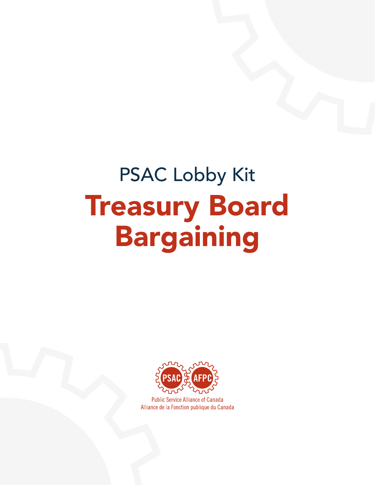# Treasury Board Bargaining PSAC Lobby Kit



**Public Service Alliance of Canada** Alliance de la Fonction publique du Canada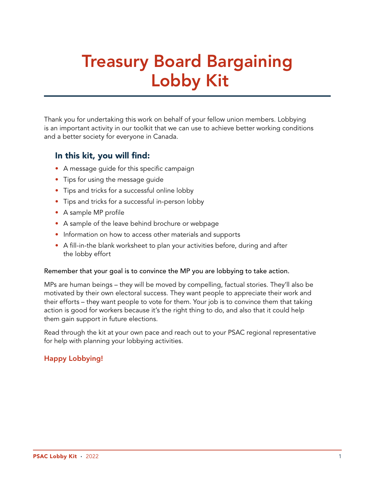## Treasury Board Bargaining Lobby Kit

Thank you for undertaking this work on behalf of your fellow union members. Lobbying is an important activity in our toolkit that we can use to achieve better working conditions and a better society for everyone in Canada.

#### In this kit, you will find:

- A message guide for this specific campaign
- Tips for using the message guide
- Tips and tricks for a successful online lobby
- Tips and tricks for a successful in-person lobby
- A sample MP profile
- A sample of the leave behind brochure or webpage
- Information on how to access other materials and supports
- A fill-in-the blank worksheet to plan your activities before, during and after the lobby effort

#### Remember that your goal is to convince the MP you are lobbying to take action.

MPs are human beings – they will be moved by compelling, factual stories. They'll also be motivated by their own electoral success. They want people to appreciate their work and their efforts – they want people to vote for them. Your job is to convince them that taking action is good for workers because it's the right thing to do, and also that it could help them gain support in future elections.

Read through the kit at your own pace and reach out to your PSAC regional representative for help with planning your lobbying activities.

#### Happy Lobbying!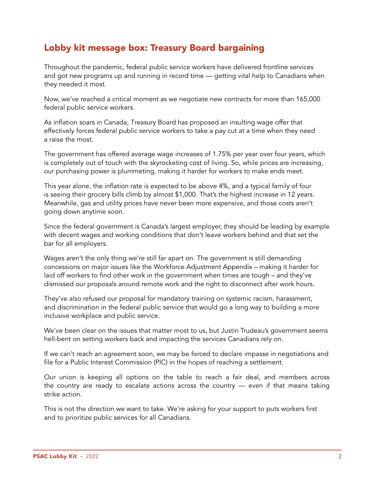## Lobby kit message box: Treasury Board bargaining

Throughout the pandemic, federal public service workers have delivered frontline services and got new programs up and running in record time — getting vital help to Canadians when they needed it most.

Now, we've reached a critical moment as we negotiate new contracts for more than 165,000 federal public service workers.

As inflation soars in Canada, Treasury Board has proposed an insulting wage offer that effectively forces federal public service workers to take a pay cut at a time when they need a raise the most.

The government has offered average wage increases of 1.75% per year over four years, which is completely out of touch with the skyrocketing cost of living. So, while prices are increasing, our purchasing power is plummeting, making it harder for workers to make ends meet.

This year alone, the inflation rate is expected to be above 4%, and a typical family of four is seeing their grocery bills climb by almost \$1,000. That's the highest increase in 12 years. Meanwhile, gas and utility prices have never been more expensive, and those costs aren't going down anytime soon.

Since the federal government is Canada's largest employer, they should be leading by example with decent wages and working conditions that don't leave workers behind and that set the bar for all employers.

Wages aren't the only thing we're still far apart on. The government is still demanding concessions on major issues like the Workforce Adjustment Appendix – making it harder for laid off workers to find other work in the government when times are tough – and they've dismissed our proposals around remote work and the right to disconnect after work hours.

They've also refused our proposal for mandatory training on systemic racism, harassment, and discrimination in the federal public service that would go a long way to building a more inclusive workplace and public service.

We've been clear on the issues that matter most to us, but Justin Trudeau's government seems hell-bent on setting workers back and impacting the services Canadians rely on.

If we can't reach an agreement soon, we may be forced to declare impasse in negotiations and file for a Public Interest Commission (PIC) in the hopes of reaching a settlement.

Our union is keeping all options on the table to reach a fair deal, and members across the country are ready to escalate actions across the country — even if that means taking strike action.

This is not the direction we want to take. We're asking for your support to puts workers first and to prioritize public services for all Canadians.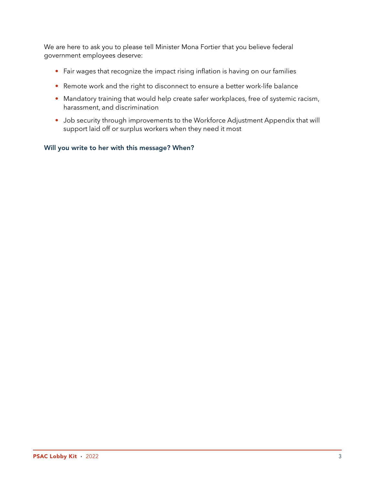We are here to ask you to please tell Minister Mona Fortier that you believe federal government employees deserve:

- Fair wages that recognize the impact rising inflation is having on our families
- Remote work and the right to disconnect to ensure a better work-life balance
- Mandatory training that would help create safer workplaces, free of systemic racism, harassment, and discrimination
- Job security through improvements to the Workforce Adjustment Appendix that will support laid off or surplus workers when they need it most

#### Will you write to her with this message? When?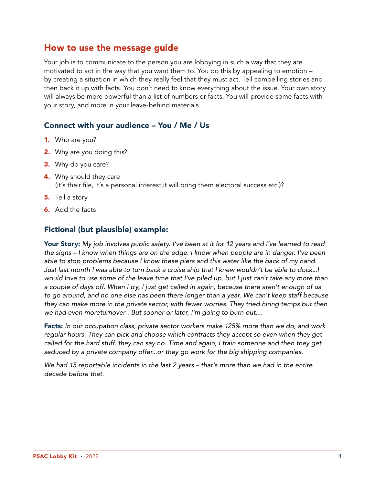### How to use the message guide

Your job is to communicate to the person you are lobbying in such a way that they are motivated to act in the way that you want them to. You do this by appealing to emotion – by creating a situation in which they really feel that they must act. Tell compelling stories and then back it up with facts. You don't need to know everything about the issue. Your own story will always be more powerful than a list of numbers or facts. You will provide some facts with your story, and more in your leave-behind materials.

#### Connect with your audience – You / Me / Us

- **1.** Who are you?
- 2. Why are you doing this?
- 3. Why do you care?
- **4.** Why should they care (it's their file, it's a personal interest,it will bring them electoral success etc.)?
- 5. Tell a story
- 6. Add the facts

#### Fictional (but plausible) example:

Your Story: *My job involves public safety. I've been at it for 12 years and I've learned to read the signs – I know when things are on the edge. I know when people are in danger. I've been able to stop problems because I know these piers and this water like the back of my hand. Just last month I was able to turn back a cruise ship that I knew wouldn't be able to dock...I would love to use some of the leave time that I've piled up, but I just can't take any more than a couple of days off. When I try, I just get called in again, because there aren't enough of us to go around, and no one else has been there longer than a year. We can't keep staff because they can make more in the private sector, with fewer worries. They tried hiring temps but then we had even moreturnover . But sooner or later, I'm going to burn out....*

Facts: *In our occupation class, private sector workers make 125% more than we do, and work regular hours. They can pick and choose which contracts they accept so even when they get called for the hard stuff, they can say no. Time and again, I train someone and then they get seduced by a private company offer...or they go work for the big shipping companies.*

*We had 15 reportable incidents in the last 2 years – that's more than we had in the entire decade before that.*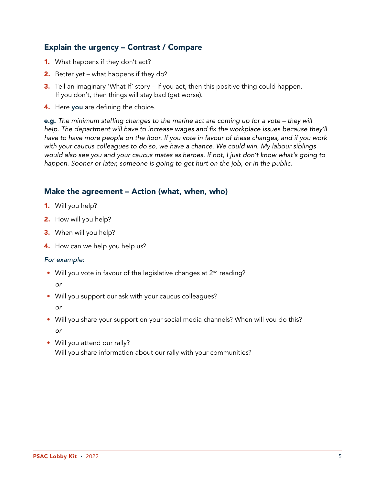#### Explain the urgency – Contrast / Compare

- 1. What happens if they don't act?
- 2. Better yet what happens if they do?
- 3. Tell an imaginary 'What If' story If you act, then this positive thing could happen. If you don't, then things will stay bad (get worse).
- 4. Here you are defining the choice.

e.g. *The minimum staffing changes to the marine act are coming up for a vote – they will help. The department will have to increase wages and fix the workplace issues because they'll have to have more people on the floor. If you vote in favour of these changes, and if you work with your caucus colleagues to do so, we have a chance. We could win. My labour siblings would also see you and your caucus mates as heroes. If not, I just don't know what's going to happen. Sooner or later, someone is going to get hurt on the job, or in the public.*

#### Make the agreement – Action (what, when, who)

- 1. Will you help?
- 2. How will you help?
- 3. When will you help?
- 4. How can we help you help us?

#### *For example:*

- Will you vote in favour of the legislative changes at  $2^{nd}$  reading? *or*
- Will you support our ask with your caucus colleagues? *or*
- Will you share your support on your social media channels? When will you do this? *or*
- Will you attend our rally? Will you share information about our rally with your communities?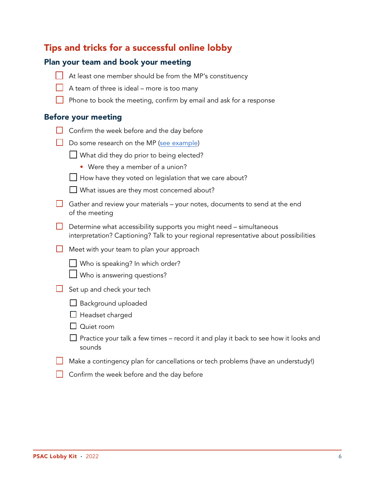## Tips and tricks for a successful online lobby

#### Plan your team and book your meeting

| At least one member should be from the MP's constituency |
|----------------------------------------------------------|
|----------------------------------------------------------|

- $\Box$  A team of three is ideal more is too many
- $\Box$  Phone to book the meeting, confirm by email and ask for a response

#### Before your meeting

| $\Box$ Confirm the week before and the day before |  |
|---------------------------------------------------|--|
|---------------------------------------------------|--|

 $\Box$  Do some research on the MP [\(see example\)](#page-12-0)

| What did they do prior to being elected? |  |  |  |
|------------------------------------------|--|--|--|
|------------------------------------------|--|--|--|

- Were they a member of a union?
- □ How have they voted on legislation that we care about?
- ☐ What issues are they most concerned about?
- $\Box$  Gather and review your materials your notes, documents to send at the end of the meeting
- $\Box$  Determine what accessibility supports you might need simultaneous interpretation? Captioning? Talk to your regional representative about possibilities
- $\Box$  Meet with your team to plan your approach
	- $\Box$  Who is speaking? In which order?
	- $\Box$  Who is answering questions?

#### $\Box$  Set up and check your tech

- □ Background uploaded
- $\Box$  Headset charged
- ☐ Quiet room
- $\Box$  Practice your talk a few times record it and play it back to see how it looks and sounds
- $\Box$  Make a contingency plan for cancellations or tech problems (have an understudy!)
- **□** Confirm the week before and the day before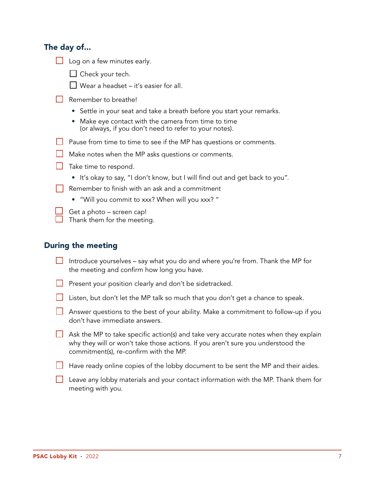| The day of                                                                                                   |  |  |  |  |  |  |  |  |
|--------------------------------------------------------------------------------------------------------------|--|--|--|--|--|--|--|--|
| Log on a few minutes early.                                                                                  |  |  |  |  |  |  |  |  |
| Check your tech.                                                                                             |  |  |  |  |  |  |  |  |
| Wear a headset – it's easier for all.                                                                        |  |  |  |  |  |  |  |  |
| Remember to breathe!                                                                                         |  |  |  |  |  |  |  |  |
| • Settle in your seat and take a breath before you start your remarks.                                       |  |  |  |  |  |  |  |  |
| Make eye contact with the camera from time to time<br>(or always, if you don't need to refer to your notes). |  |  |  |  |  |  |  |  |
| Pause from time to time to see if the MP has questions or comments.                                          |  |  |  |  |  |  |  |  |
| Make notes when the MP asks questions or comments.                                                           |  |  |  |  |  |  |  |  |
| Take time to respond.                                                                                        |  |  |  |  |  |  |  |  |
| It's okay to say, "I don't know, but I will find out and get back to you".                                   |  |  |  |  |  |  |  |  |
| Remember to finish with an ask and a commitment                                                              |  |  |  |  |  |  |  |  |
| • "Will you commit to xxx? When will you xxx?"                                                               |  |  |  |  |  |  |  |  |
| Get a photo – screen cap!<br>Thank them for the meeting.                                                     |  |  |  |  |  |  |  |  |

#### During the meeting

| $\Box$ Introduce yourselves – say what you do and where you're from. Thank the MP for |
|---------------------------------------------------------------------------------------|
| the meeting and confirm how long you have.                                            |

| Present your position clearly and don't be sidetracked. |
|---------------------------------------------------------|
|---------------------------------------------------------|

|  | $\Box$ Listen, but don't let the MP talk so much that you don't get a chance to speak. |  |  |  |  |  |  |  |  |  |  |  |  |  |  |
|--|----------------------------------------------------------------------------------------|--|--|--|--|--|--|--|--|--|--|--|--|--|--|
|--|----------------------------------------------------------------------------------------|--|--|--|--|--|--|--|--|--|--|--|--|--|--|

| Answer questions to the best of your ability. Make a commitment to follow-up if you |
|-------------------------------------------------------------------------------------|
| don't have immediate answers.                                                       |

□ Ask the MP to take specific action(s) and take very accurate notes when they explain why they will or won't take those actions. If you aren't sure you understood the commitment(s), re-confirm with the MP.

☐ Have ready online copies of the lobby document to be sent the MP and their aides.

☐ Leave any lobby materials and your contact information with the MP. Thank them for meeting with you.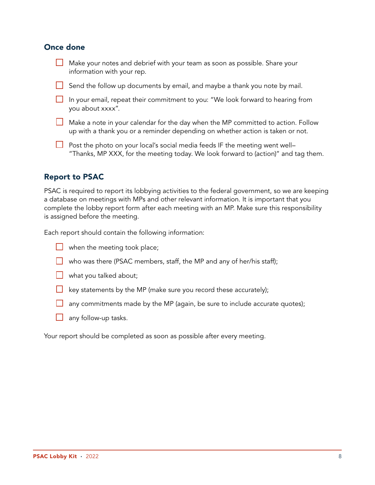#### Once done

| Make your notes and debrief with your team as soon as possible. Share your |  |  |  |
|----------------------------------------------------------------------------|--|--|--|
| information with your rep.                                                 |  |  |  |

- $\Box$  Send the follow up documents by email, and maybe a thank you note by mail.
- $\Box$  In your email, repeat their commitment to you: "We look forward to hearing from you about xxxx".
- $\Box$  Make a note in your calendar for the day when the MP committed to action. Follow up with a thank you or a reminder depending on whether action is taken or not.
- $□$  Post the photo on your local's social media feeds IF the meeting went well– "Thanks, MP XXX, for the meeting today. We look forward to (action)" and tag them.

#### Report to PSAC

PSAC is required to report its lobbying activities to the federal government, so we are keeping a database on meetings with MPs and other relevant information. It is important that you complete the lobby report form after each meeting with an MP. Make sure this responsibility is assigned before the meeting.

Each report should contain the following information:

- $\Box$  when the meeting took place;
- $\Box$  who was there (PSAC members, staff, the MP and any of her/his staff);
- $\Box$  what you talked about;
- $\Box$  key statements by the MP (make sure you record these accurately);
- $\Box$  any commitments made by the MP (again, be sure to include accurate quotes);
- $\Box$  any follow-up tasks.

Your report should be completed as soon as possible after every meeting.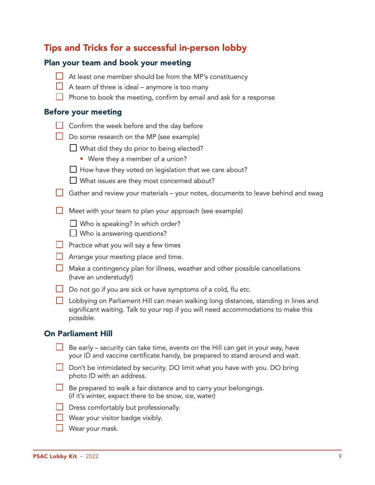## Tips and Tricks for a successful in-person lobby

#### Plan your team and book your meeting

| $\Box$ At least one member should be from the MP's constituency |
|-----------------------------------------------------------------|
|-----------------------------------------------------------------|

- $\Box$  A team of three is ideal anymore is too many
- $\Box$  Phone to book the meeting, confirm by email and ask for a response

#### Before your meeting

- $\Box$  Confirm the week before and the day before
- $\Box$  Do some research on the MP [\(see example\)](#page-12-0)
	- $\Box$  What did they do prior to being elected?
		- Were they a member of a union?
	- $\Box$  How have they voted on legislation that we care about?
	- □ What issues are they most concerned about?
- $\Box$  Gather and review your materials your notes, documents to leave behind and swag
- $\Box$  Meet with your team to plan your approach (see example)
	- $\Box$  Who is speaking? In which order?
	- **□ Who is answering questions?**
- $□$  Practice what you will say a few times
- $\Box$  Arrange your meeting place and time.
- **□** Make a contingency plan for illness, weather and other possible cancellations (have an understudy!)
- $\Box$  Do not go if you are sick or have symptoms of a cold, flu etc.
- ☐ Lobbying on Parliament Hill can mean walking long distances, standing in lines and significant waiting. Talk to your rep if you will need accommodations to make this possible.

#### On Parliament Hill

- Be early security can take time, events on the Hill can get in your way, have your ID and vaccine certificate handy, be prepared to stand around and wait.
- $\Box$  Don't be intimidated by security. DO limit what you have with you. DO bring photo ID with an address.
- $\Box$  Be prepared to walk a fair distance and to carry your belongings. (if it's winter, expect there to be snow, ice, water)
- $\Box$  Dress comfortably but professionally.
- $\Box$  Wear your visitor badge visibly.
- $\Box$  Wear your mask.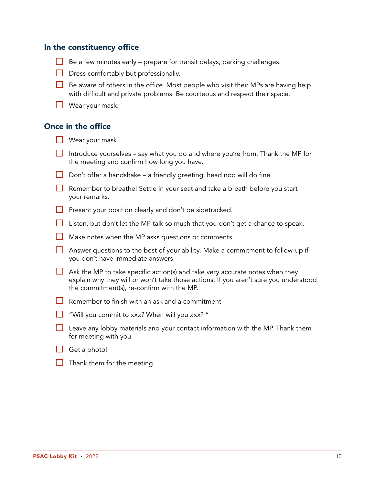#### In the constituency office

- $\Box$  Be a few minutes early prepare for transit delays, parking challenges.
- $\Box$  Dress comfortably but professionally.
- $\Box$  Be aware of others in the office. Most people who visit their MPs are having help with difficult and private problems. Be courteous and respect their space.
- $\Box$  Wear your mask.

#### Once in the office

| $\Box$ Wear your mask |  |  |
|-----------------------|--|--|
|-----------------------|--|--|

- $□$  Introduce yourselves say what you do and where you're from. Thank the MP for the meeting and confirm how long you have.
- $\Box$  Don't offer a handshake a friendly greeting, head nod will do fine.
- **□** Remember to breathe! Settle in your seat and take a breath before you start your remarks.
- □ Present your position clearly and don't be sidetracked.
- $\Box$  Listen, but don't let the MP talk so much that you don't get a chance to speak.
- $\Box$  Make notes when the MP asks questions or comments.
- $\Box$  Answer questions to the best of your ability. Make a commitment to follow-up if you don't have immediate answers.
- **□** Ask the MP to take specific action(s) and take very accurate notes when they explain why they will or won't take those actions. If you aren't sure you understood the commitment(s), re-confirm with the MP.
- $\Box$  Remember to finish with an ask and a commitment
- $\Box$  "Will you commit to xxx? When will you xxx?"
- $\Box$  Leave any lobby materials and your contact information with the MP. Thank them for meeting with you.
- $\Box$  Get a photo!
- $\Box$  Thank them for the meeting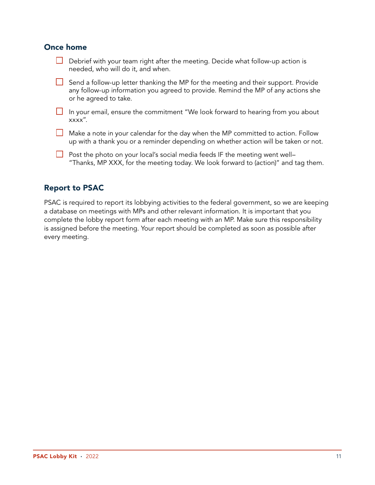#### Once home

- $\Box$  Debrief with your team right after the meeting. Decide what follow-up action is needed, who will do it, and when.
- **□** Send a follow-up letter thanking the MP for the meeting and their support. Provide any follow-up information you agreed to provide. Remind the MP of any actions she or he agreed to take.
- $\Box$  In your email, ensure the commitment "We look forward to hearing from you about xxxx".
- $\Box$  Make a note in your calendar for the day when the MP committed to action. Follow up with a thank you or a reminder depending on whether action will be taken or not.
- $\Box$  Post the photo on your local's social media feeds IF the meeting went well– "Thanks, MP XXX, for the meeting today. We look forward to (action)" and tag them.

#### Report to PSAC

PSAC is required to report its lobbying activities to the federal government, so we are keeping a database on meetings with MPs and other relevant information. It is important that you complete the lobby report form after each meeting with an MP. Make sure this responsibility is assigned before the meeting. Your report should be completed as soon as possible after every meeting.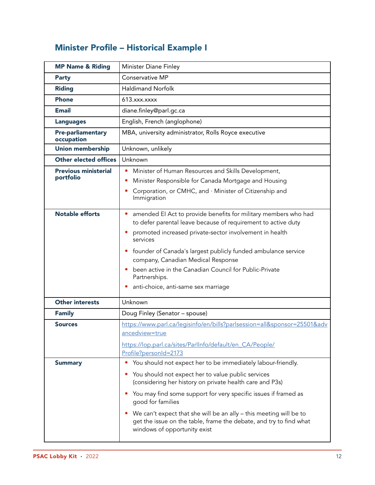## <span id="page-12-0"></span>Minister Profile – Historical Example I

| <b>MP Name &amp; Riding</b>     | Minister Diane Finley                                                                                                                                                                                    |  |  |  |  |  |  |  |
|---------------------------------|----------------------------------------------------------------------------------------------------------------------------------------------------------------------------------------------------------|--|--|--|--|--|--|--|
| <b>Party</b>                    | Conservative MP                                                                                                                                                                                          |  |  |  |  |  |  |  |
| <b>Riding</b>                   | <b>Haldimand Norfolk</b>                                                                                                                                                                                 |  |  |  |  |  |  |  |
| <b>Phone</b>                    | 613.xxx.xxxx                                                                                                                                                                                             |  |  |  |  |  |  |  |
| <b>Email</b>                    | diane.finley@parl.gc.ca                                                                                                                                                                                  |  |  |  |  |  |  |  |
| <b>Languages</b>                | English, French (anglophone)                                                                                                                                                                             |  |  |  |  |  |  |  |
| Pre-parliamentary<br>occupation | MBA, university administrator, Rolls Royce executive                                                                                                                                                     |  |  |  |  |  |  |  |
| <b>Union membership</b>         | Unknown, unlikely                                                                                                                                                                                        |  |  |  |  |  |  |  |
| <b>Other elected offices</b>    | Unknown                                                                                                                                                                                                  |  |  |  |  |  |  |  |
| <b>Previous ministerial</b>     | Minister of Human Resources and Skills Development,<br>$\bullet$                                                                                                                                         |  |  |  |  |  |  |  |
| portfolio                       | Minister Responsible for Canada Mortgage and Housing<br>۰                                                                                                                                                |  |  |  |  |  |  |  |
|                                 | Corporation, or CMHC, and · Minister of Citizenship and<br>Immigration                                                                                                                                   |  |  |  |  |  |  |  |
| <b>Notable efforts</b>          | amended EI Act to provide benefits for military members who had<br>$\bullet$<br>to defer parental leave because of requirement to active duty<br>promoted increased private-sector involvement in health |  |  |  |  |  |  |  |
|                                 | services                                                                                                                                                                                                 |  |  |  |  |  |  |  |
|                                 | founder of Canada's largest publicly funded ambulance service<br>company, Canadian Medical Response                                                                                                      |  |  |  |  |  |  |  |
|                                 | been active in the Canadian Council for Public-Private<br>Partnerships.                                                                                                                                  |  |  |  |  |  |  |  |
|                                 | anti-choice, anti-same sex marriage                                                                                                                                                                      |  |  |  |  |  |  |  |
| <b>Other interests</b>          | Unknown                                                                                                                                                                                                  |  |  |  |  |  |  |  |
| <b>Family</b>                   | Doug Finley (Senator - spouse)                                                                                                                                                                           |  |  |  |  |  |  |  |
| <b>Sources</b>                  | https://www.parl.ca/legisinfo/en/bills?parlsession=all&sponsor=25501&adv<br>ancedview=true                                                                                                               |  |  |  |  |  |  |  |
|                                 | https://lop.parl.ca/sites/ParlInfo/default/en_CA/People/                                                                                                                                                 |  |  |  |  |  |  |  |
|                                 | Profile?personId=2173                                                                                                                                                                                    |  |  |  |  |  |  |  |
| <b>Summary</b>                  | You should not expect her to be immediately labour-friendly.<br>$\bullet$                                                                                                                                |  |  |  |  |  |  |  |
|                                 | You should not expect her to value public services<br>$\bullet$<br>(considering her history on private health care and P3s)                                                                              |  |  |  |  |  |  |  |
|                                 | You may find some support for very specific issues if framed as<br>good for families                                                                                                                     |  |  |  |  |  |  |  |
|                                 | We can't expect that she will be an ally - this meeting will be to<br>get the issue on the table, frame the debate, and try to find what<br>windows of opportunity exist                                 |  |  |  |  |  |  |  |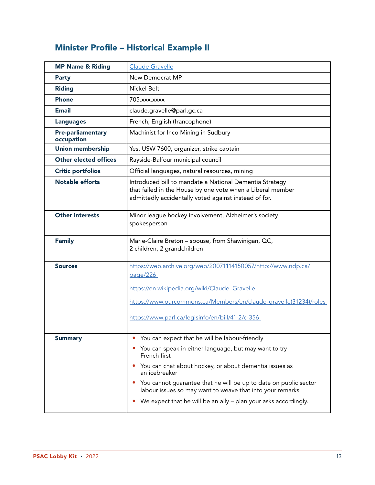## Minister Profile – Historical Example II

| <b>MP Name &amp; Riding</b>            | <b>Claude Gravelle</b>                                                                                                                                                                                                                                                                                                                                                                                 |  |  |
|----------------------------------------|--------------------------------------------------------------------------------------------------------------------------------------------------------------------------------------------------------------------------------------------------------------------------------------------------------------------------------------------------------------------------------------------------------|--|--|
| <b>Party</b>                           | New Democrat MP                                                                                                                                                                                                                                                                                                                                                                                        |  |  |
| <b>Riding</b>                          | Nickel Belt                                                                                                                                                                                                                                                                                                                                                                                            |  |  |
| <b>Phone</b>                           | 705.xxx.xxxx                                                                                                                                                                                                                                                                                                                                                                                           |  |  |
| <b>Email</b>                           | claude.gravelle@parl.gc.ca                                                                                                                                                                                                                                                                                                                                                                             |  |  |
| <b>Languages</b>                       | French, English (francophone)                                                                                                                                                                                                                                                                                                                                                                          |  |  |
| <b>Pre-parliamentary</b><br>occupation | Machinist for Inco Mining in Sudbury                                                                                                                                                                                                                                                                                                                                                                   |  |  |
| <b>Union membership</b>                | Yes, USW 7600, organizer, strike captain                                                                                                                                                                                                                                                                                                                                                               |  |  |
| <b>Other elected offices</b>           | Rayside-Balfour municipal council                                                                                                                                                                                                                                                                                                                                                                      |  |  |
| <b>Critic portfolios</b>               | Official languages, natural resources, mining                                                                                                                                                                                                                                                                                                                                                          |  |  |
| <b>Notable efforts</b>                 | Introduced bill to mandate a National Dementia Strategy<br>that failed in the House by one vote when a Liberal member<br>admittedly accidentally voted against instead of for.                                                                                                                                                                                                                         |  |  |
| <b>Other interests</b>                 | Minor league hockey involvement, Alzheimer's society<br>spokesperson                                                                                                                                                                                                                                                                                                                                   |  |  |
|                                        |                                                                                                                                                                                                                                                                                                                                                                                                        |  |  |
| <b>Family</b>                          | Marie-Claire Breton - spouse, from Shawinigan, QC,<br>2 children, 2 grandchildren                                                                                                                                                                                                                                                                                                                      |  |  |
| <b>Sources</b>                         | https://web.archive.org/web/20071114150057/http://www.ndp.ca/<br>page/226                                                                                                                                                                                                                                                                                                                              |  |  |
|                                        | https://en.wikipedia.org/wiki/Claude_Gravelle_                                                                                                                                                                                                                                                                                                                                                         |  |  |
|                                        | https://www.ourcommons.ca/Members/en/claude-gravelle(31234)/roles                                                                                                                                                                                                                                                                                                                                      |  |  |
|                                        | https://www.parl.ca/legisinfo/en/bill/41-2/c-356                                                                                                                                                                                                                                                                                                                                                       |  |  |
| <b>Summary</b>                         | You can expect that he will be labour-friendly<br>You can speak in either language, but may want to try<br>French first<br>You can chat about hockey, or about dementia issues as<br>an icebreaker<br>You cannot guarantee that he will be up to date on public sector<br>labour issues so may want to weave that into your remarks<br>We expect that he will be an ally - plan your asks accordingly. |  |  |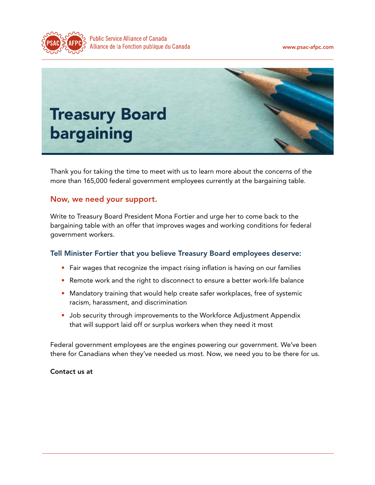



Thank you for taking the time to meet with us to learn more about the concerns of the more than 165,000 federal government employees currently at the bargaining table.

#### Now, we need your support.

Write to Treasury Board President Mona Fortier and urge her to come back to the bargaining table with an offer that improves wages and working conditions for federal government workers.

#### Tell Minister Fortier that you believe Treasury Board employees deserve:

- Fair wages that recognize the impact rising inflation is having on our families
- Remote work and the right to disconnect to ensure a better work-life balance
- Mandatory training that would help create safer workplaces, free of systemic racism, harassment, and discrimination
- Job security through improvements to the Workforce Adjustment Appendix that will support laid off or surplus workers when they need it most

Federal government employees are the engines powering our government. We've been there for Canadians when they've needed us most. Now, we need you to be there for us.

#### Contact us at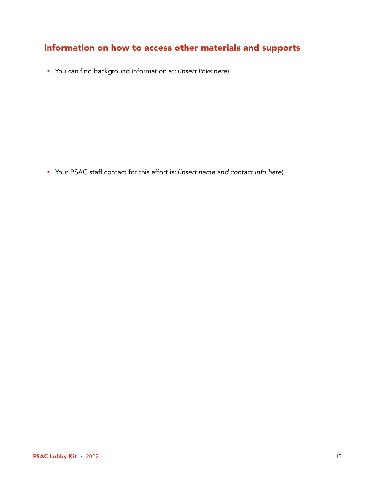## Information on how to access other materials and supports

• You can find background information at: (*insert links here*)

• Your PSAC staff contact for this effort is: (*insert name and contact info here*)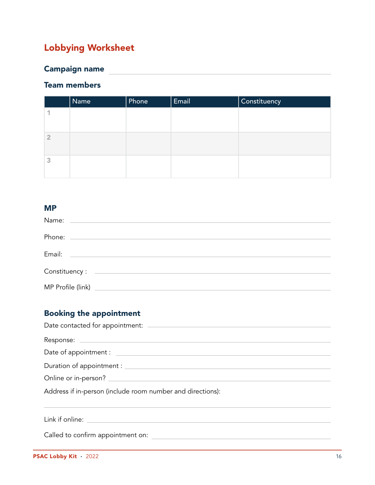## Lobbying Worksheet

## Campaign name

#### Team members

|                | Name | Phone | Email | Constituency |
|----------------|------|-------|-------|--------------|
|                |      |       |       |              |
|                |      |       |       |              |
| $\overline{2}$ |      |       |       |              |
|                |      |       |       |              |
| 3              |      |       |       |              |
|                |      |       |       |              |

#### MP

| $\begin{minipage}[c]{0.9\linewidth} \hline \textbf{Construct} & \textbf{Output} \end{minipage} \vspace{0.05cm} \begin{minipage}[c]{0.9\linewidth} \hline \textbf{Construct} & \textbf{Output} \end{minipage} \vspace{0.05cm} \begin{minipage}[c]{0.9\linewidth} \hline \textbf{Construct} & \textbf{Output} \end{minipage} \vspace{0.05cm} \begin{minipage}[c]{0.9\linewidth} \hline \textbf{Construct} & \textbf{Output} \end{minipage} \vspace{0.05cm} \begin{minipage}[c]{0.9\linewidth} \hline \textbf{Construct} & \textbf$ |  |  |  |
|----------------------------------------------------------------------------------------------------------------------------------------------------------------------------------------------------------------------------------------------------------------------------------------------------------------------------------------------------------------------------------------------------------------------------------------------------------------------------------------------------------------------------------|--|--|--|
|                                                                                                                                                                                                                                                                                                                                                                                                                                                                                                                                  |  |  |  |

#### Booking the appointment

| Address if in-person (include room number and directions): |
|------------------------------------------------------------|
|                                                            |
|                                                            |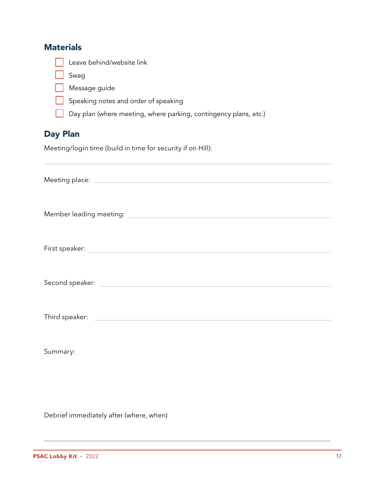| <b>Materials</b>                                                 |
|------------------------------------------------------------------|
| Leave behind/website link                                        |
| Swag                                                             |
| Message guide                                                    |
| Speaking notes and order of speaking                             |
| Day plan (where meeting, where parking, contingency plans, etc.) |
| <b>Day Plan</b>                                                  |
| Meeting/login time (build in time for security if on Hill):      |
|                                                                  |
|                                                                  |
|                                                                  |
|                                                                  |
|                                                                  |
|                                                                  |
|                                                                  |
|                                                                  |
| Third speaker:                                                   |
|                                                                  |
|                                                                  |
| Summary:                                                         |
|                                                                  |

Debrief immediately after (where, when)

 $\overline{\phantom{a}}$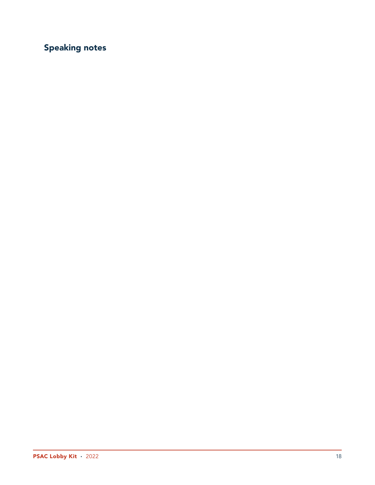## Speaking notes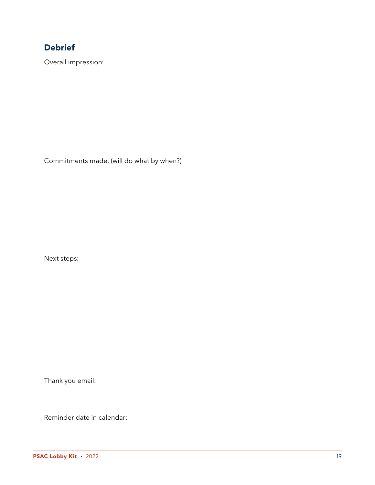## **Debrief**

Overall impression:

Commitments made: (will do what by when?)

Next steps:

Thank you email:

Reminder date in calendar: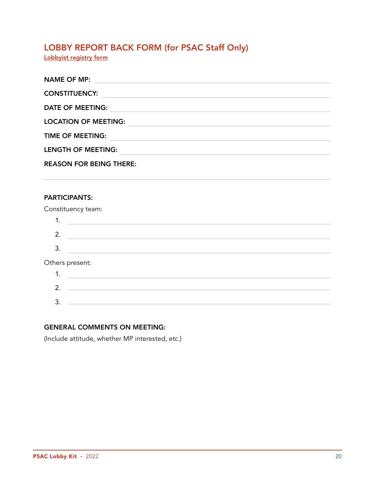## LOBBY REPORT BACK FORM (for PSAC Staff Only)

Lobbyist registry form

#### PARTICIPANTS:

|    | Constituency team: |
|----|--------------------|
|    |                    |
| 2. |                    |
| 3. |                    |
|    | Others present:    |
| Ι. |                    |
| າ  |                    |
|    |                    |
| 3  |                    |
|    |                    |

#### GENERAL COMMENTS ON MEETING:

(Include attitude, whether MP interested, etc.)